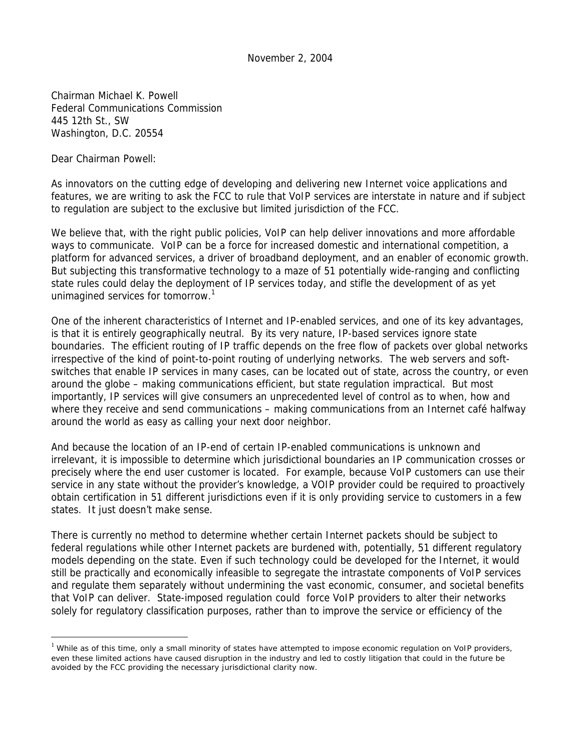November 2, 2004

Chairman Michael K. Powell Federal Communications Commission 445 12th St., SW Washington, D.C. 20554

Dear Chairman Powell:

 $\overline{a}$ 

As innovators on the cutting edge of developing and delivering new Internet voice applications and features, we are writing to ask the FCC to rule that VoIP services are interstate in nature and if subject to regulation are subject to the exclusive but limited jurisdiction of the FCC.

We believe that, with the right public policies, VoIP can help deliver innovations and more affordable ways to communicate. VoIP can be a force for increased domestic and international competition, a platform for advanced services, a driver of broadband deployment, and an enabler of economic growth. But subjecting this transformative technology to a maze of 51 potentially wide-ranging and conflicting state rules could delay the deployment of IP services today, and stifle the development of as yet unimagined services for tomorrow.<sup>1</sup>

One of the inherent characteristics of Internet and IP-enabled services, and one of its key advantages, is that it is entirely geographically neutral. By its very nature, IP-based services ignore state boundaries. The efficient routing of IP traffic depends on the free flow of packets over global networks irrespective of the kind of point-to-point routing of underlying networks. The web servers and softswitches that enable IP services in many cases, can be located out of state, across the country, or even around the globe – making communications efficient, but state regulation impractical. But most importantly, IP services will give consumers an unprecedented level of control as to when, how and where they receive and send communications – making communications from an Internet café halfway around the world as easy as calling your next door neighbor.

And because the location of an IP-end of certain IP-enabled communications is unknown and irrelevant, it is impossible to determine which jurisdictional boundaries an IP communication crosses or precisely where the end user customer is located. For example, because VoIP customers can use their service in any state without the provider's knowledge, a VOIP provider could be required to proactively obtain certification in 51 different jurisdictions even if it is only providing service to customers in a few states. It just doesn't make sense.

There is currently no method to determine whether certain Internet packets should be subject to federal regulations while other Internet packets are burdened with, potentially, 51 different regulatory models depending on the state. Even if such technology could be developed for the Internet, it would still be practically and economically infeasible to segregate the intrastate components of VoIP services and regulate them separately without undermining the vast economic, consumer, and societal benefits that VoIP can deliver. State-imposed regulation could force VoIP providers to alter their networks solely for regulatory classification purposes, rather than to improve the service or efficiency of the

 $1$  While as of this time, only a small minority of states have attempted to impose economic regulation on VoIP providers, even these limited actions have caused disruption in the industry and led to costly litigation that could in the future be avoided by the FCC providing the necessary jurisdictional clarity now.